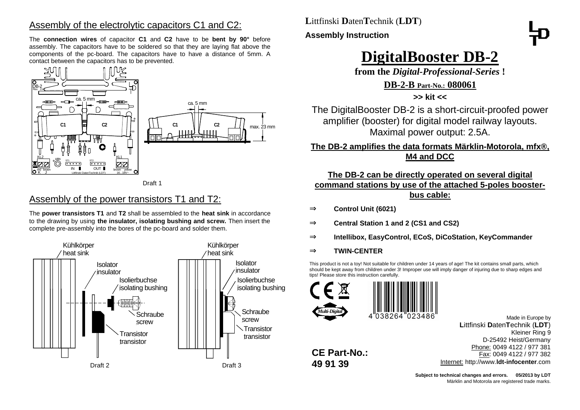## Assembly of the electrolytic capacitors C1 and C2:

The **connection wires** of capacitor **C1** and **C2** have to be **bent by 90°** before assembly. The capacitors have to be soldered so that they are laying flat above the components of the pc-board. The capacitors have to have a distance of 5mm. A contact between the capacitors has to be prevented.



Draft 1

## Assembly of the power transistors T1 and T2:

The **power transistors T1** and **T2** shall be assembled to the **heat sink** in accordance to the drawing by using **the insulator, isolating bushing and screw.** Then insert the complete pre-assembly into the bores of the pc-board and solder them.



**L**ittfinski **D**aten**T**echnik (**LDT**)

#### **Assembly Instruction**



# **DigitalBooster DB-2**

**from the** *Digital-Professional-Series* **!**

#### **DB-2-B Part-No.: 080061**

**>> kit <<**

The DigitalBooster DB-2 is a short-circuit-proofed power amplifier (booster) for digital model railway layouts. Maximal power output: 2.5A.

### **The DB-2 amplifies the data formats Märklin-Motorola, mfx®, M4 and DCC**

#### **The DB-2 can be directly operated on several digital**

**command stations by use of the attached 5-poles booster-**

#### **bus cable:**

- ⇒ **Control Unit (6021)**
- ⇒ **Central Station 1 and 2 (CS1 and CS2)**
- ⇒ **Intellibox, EasyControl, ECoS, DiCoStation, KeyCommander**
- ⇒ **TWIN-CENTER**

This product is not a toy! Not suitable for children under 14 years of age! The kit contains small parts, which should be kept away from children under 3! Improper use will imply danger of injuring due to sharp edges and tips! Please store this instruction carefully.





**CE Part-No.: 49 91 39**

> **Subject to technical changes and errors. 05/2013 by LDT** Märklin and Motorola are registered trade marks.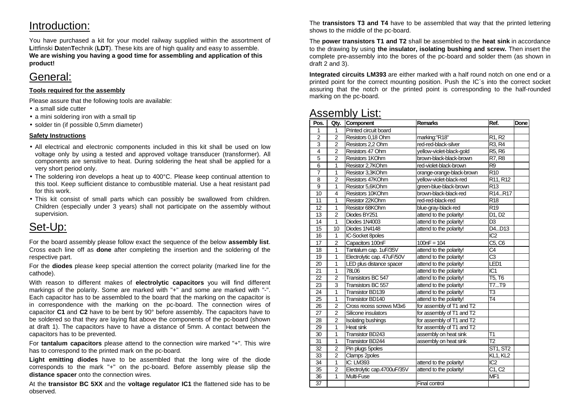## Introduction:

You have purchased a kit for your model railway supplied within the assortment of **L**ittfinski **D**aten**T**echnik (**LDT**). These kits are of high quality and easy to assemble. **We are wishing you having a good time for assembling and application of this product!**

## General:

#### **Tools required for the assembly**

Please assure that the following tools are available:

- a small side cutter
- a mini soldering iron with a small tip
- solder tin (if possible 0,5mm diameter)

#### **Safety Instructions**

- All electrical and electronic components included in this kit shall be used on low voltage only by using a tested and approved voltage transducer (transformer). All components are sensitive to heat. During soldering the heat shall be applied for a very short period only.
- The soldering iron develops a heat up to 400°C. Please keep continual attention to this tool. Keep sufficient distance to combustible material. Use a heat resistant pad for this work.
- This kit consist of small parts which can possibly be swallowed from children. Children (especially under 3 years) shall not participate on the assembly without supervision.

## Set-Up:

For the board assembly please follow exact the sequence of the below **assembly list**. Cross each line off as **done** after completing the insertion and the soldering of the respective part.

For the **diodes** please keep special attention the correct polarity (marked line for the cathode).

With reason to different makes of **electrolytic capacitors** you will find different markings of the polarity. Some are marked with "+" and some are marked with "-". Each capacitor has to be assembled to the board that the marking on the capacitor is in correspondence with the marking on the pc-board. The connection wires of capacitor **C1** and **C2** have to be bent by 90° before assembly. The capacitors have to be soldered so that they are laying flat above the components of the pc-board (shown at draft 1). The capacitors have to have a distance of 5mm. A contact between the capacitors has to be prevented.

For **tantalum capacitors** please attend to the connection wire marked "+". This wire has to correspond to the printed mark on the pc-board.

**Light emitting diodes** have to be assembled that the long wire of the diode corresponds to the mark "+" on the pc-board. Before assembly please slip the **distance spacer** onto the connection wires.

At the **transistor BC 5XX** and the **voltage regulator IC1** the flattened side has to be observed.

The **transistors T3 and T4** have to be assembled that way that the printed lettering shows to the middle of the pc-board.

The **power transistors T1 and T2** shall be assembled to the **heat sink** in accordance to the drawing by using **the insulator, isolating bushing and screw.** Then insert the complete pre-assembly into the bores of the pc-board and solder them (as shown in draft 2 and 3).

**Integrated circuits LM393** are either marked with a half round notch on one end or a printed point for the correct mounting position. Push the IC`s into the correct socket assuring that the notch or the printed point is corresponding to the half-rounded marking on the pc-board.

## Assembly List:

| Pos.           | Qty.           | Component                   | <b>Remarks</b>            | Ref.                             | Done |
|----------------|----------------|-----------------------------|---------------------------|----------------------------------|------|
| 1              | 1              | Printed circuit board       |                           |                                  |      |
| $\overline{2}$ | $\overline{2}$ | Resistors 0,18 Ohm          | marking:"R18"             | R <sub>1</sub> , R <sub>2</sub>  |      |
| 3              | $\overline{2}$ | Resistors 2,2 Ohm           | red-red-black-silver      | R <sub>3</sub> , R <sub>4</sub>  |      |
| $\overline{4}$ | $\overline{2}$ | Resistors 47 Ohm            | yellow-violet-black-gold  | R <sub>5</sub> , R <sub>6</sub>  |      |
| $\overline{5}$ | $\overline{2}$ | Resistors 1KOhm             | brown-black-black-brown   | R7, R8                           |      |
| 6              | $\mathbf{1}$   | Resistor 2,7KOhm            | red-violet-black-brown    | R <sub>9</sub>                   |      |
| $\overline{7}$ | 1              | Resistor 3,3KOhm            | orange-orange-black-brown | R <sub>10</sub>                  |      |
| 8              | $\overline{2}$ | Resistors 47KOhm            | yellow-violet-black-red   | R11, R12                         |      |
| 9              | 1              | Resistor 5,6KOhm            | green-blue-black-brown    | R <sub>13</sub>                  |      |
| 10             | 4              | Resistors 10KOhm            | brown-black-black-red     | R <sub>14.</sub> R <sub>17</sub> |      |
| 11             | 1              | Resistor 22KOhm             | red-red-black-red         | R <sub>18</sub>                  |      |
| 12             | 1              | Resistor 68KOhm             | blue-gray-black-red       | R <sub>19</sub>                  |      |
| 13             | $\overline{2}$ | Diodes BY251                | attend to the polarity!   | D1, D2                           |      |
| 14             | 1              | Diodes 1N4003               | attend to the polarity!   | D <sub>3</sub>                   |      |
| 15             | 10             | Diodes 1N4148               | attend to the polarity!   | D4D13                            |      |
| 16             | $\mathbf{1}$   | <b>IC-Socket 8poles</b>     |                           | IC <sub>2</sub>                  |      |
| 17             | $\overline{2}$ | Capacitors 100nF            | $100nF = 104$             | C5, C6                           |      |
| 18             | 1              | Tantalum cap. 1uF/35V       | attend to the polarity!   | C4                               |      |
| 19             | 1              | Electrolytic cap. 47uF/50V  | attend to the polarity!   | C <sub>3</sub>                   |      |
| 20             | 1              | LED plus distance spacer    | attend to the polarity!   | LED1                             |      |
| 21             | 1              | 78L06                       | attend to the polarity!   | IC <sub>1</sub>                  |      |
| 22             | $\overline{2}$ | Transistors BC 547          | attend to the polarity!   | T5, T6                           |      |
| 23             | 3              | Transistors BC 557          | attend to the polarity!   | T7T9                             |      |
| 24             | 1              | <b>Transistor BD139</b>     | attend to the polarity!   | T3                               |      |
| 25             | 1              | Transistor BD140            | attend to the polarity!   | T <sub>4</sub>                   |      |
| 26             | $\overline{c}$ | Cross recess screws M3x6    | for assembly of T1 and T2 |                                  |      |
| 27             | $\overline{2}$ | Silicone insulators         | for assembly of T1 and T2 |                                  |      |
| 28             | 2              | Isolating bushings          | for assembly of T1 and T2 |                                  |      |
| 29             | 1              | Heat sink                   | for assembly of T1 and T2 |                                  |      |
| 30             | 1              | <b>Transistor BD243</b>     | assembly on heat sink     | T1                               |      |
| 31             | 1              | <b>Transistor BD244</b>     | assembly on heat sink     | $\overline{12}$                  |      |
| 32             | $\overline{2}$ | Pin plugs 5poles            |                           | ST1, ST2                         |      |
| 33             | $\overline{2}$ | Clamps 2poles               |                           | KL1, KL2                         |      |
| 34             | $\mathbf{1}$   | IC: LM393                   | attend to the polarity!   | IC <sub>2</sub>                  |      |
| 35             | $\overline{2}$ | Electrolytic cap.4700uF/35V | attend to the polarity!   | C1, C2                           |      |
| 36             | 1              | Multi-Fuse                  |                           | MF <sub>1</sub>                  |      |
| 37             |                |                             | Final control             |                                  |      |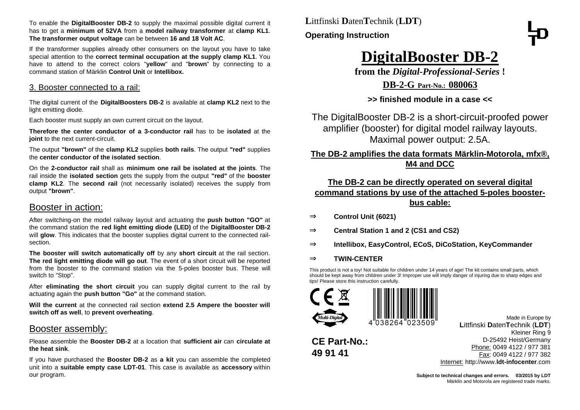To enable the **DigitalBooster DB-2** to supply the maximal possible digital current it has to get a **minimum of 52VA** from a **model railway transformer** at **clamp KL1**. **The transformer output voltage** can be between **16 and 18 Volt AC**.

If the transformer supplies already other consumers on the layout you have to take special attention to the **correct terminal occupation at the supply clamp KL1**. You have to attend to the correct colors "**yellow**" and "**brown**" by connecting to a command station of Märklin **Control Unit** or **Intellibox.**

#### 3. Booster connected to a rail:

The digital current of the **DigitalBoosters DB-2** is available at **clamp KL2** next to the light emitting diode.

Each booster must supply an own current circuit on the layout.

**Therefore the center conductor of a 3-conductor rail** has to be **isolated** at the **joint** to the next current-circuit.

The output **"brown"** of the **clamp KL2** supplies **both rails**. The output **"red"** supplies the **center conductor of the isolated section**.

On the **2-conductor rail** shall as **minimum one rail be isolated at the joints**. The rail inside the **isolated section** gets the supply from the output **"red"** of the **booster clamp KL2**. The **second rail** (not necessarily isolated) receives the supply from output **"brown"**.

#### Booster in action:

After switching-on the model railway layout and actuating the **push button "GO"** at the command station the **red light emitting diode (LED)** of the **DigitalBooster DB-2** will **glow**. This indicates that the booster supplies digital current to the connected railsection.

**The booster will switch automatically off** by any **short circuit** at the rail section. **The red light emitting diode will go out**. The event of a short circuit will be reported from the booster to the command station via the 5-poles booster bus. These will switch to "Stop".

After **eliminating the short circuit** you can supply digital current to the rail by actuating again the **push button "Go"** at the command station.

**Will the current** at the connected rail section **extend 2.5 Ampere the booster will switch off as well**, to **prevent overheating**.

#### Booster assembly:

Please assemble the **Booster DB-2** at a location that **sufficient air** can **circulate at the heat sink**.

If you have purchased the **Booster DB-2** as **a kit** you can assemble the completed unit into a **suitable empty case LDT-01**. This case is available as **accessory** within our program.

**L**ittfinski **D**aten**T**echnik (**LDT**) **Operating Instruction**

# **DigitalBooster DB-2**

**from the** *Digital-Professional-Series* **!**

**DB-2-G Part-No.: 080063**

**>> finished module in a case <<**

The DigitalBooster DB-2 is a short-circuit-proofed power amplifier (booster) for digital model railway layouts. Maximal power output: 2.5A.

#### **The DB-2 amplifies the data formats Märklin-Motorola, mfx®, M4 and DCC**

#### **The DB-2 can be directly operated on several digital command stations by use of the attached 5-poles boosterbus cable:**

- ⇒ **Control Unit (6021)**
- ⇒ **Central Station 1 and 2 (CS1 and CS2)**
- ⇒ **Intellibox, EasyControl, ECoS, DiCoStation, KeyCommander**
- ⇒ **TWIN-CENTER**

**CE Part-No.:**

**49 91 41**

This product is not a toy! Not suitable for children under 14 years of age! The kit contains small parts, which should be kept away from children under 3! Improper use will imply danger of injuring due to sharp edges and tips! Please store this instruction carefully.



Made in Europe by **L**ittfinski **D**aten**T**echnik (**LDT**) Kleiner Ring 9 D-25492 Heist/Germany Phone: 0049 4122 / 977 381 Fax: 0049 4122 / 977 382 Internet: http://www.**ldt-infocenter**.com

Subject to technical changes and errors.  $\circ$  03/2015 by LDT Märklin and Motorola are registered trade marks.